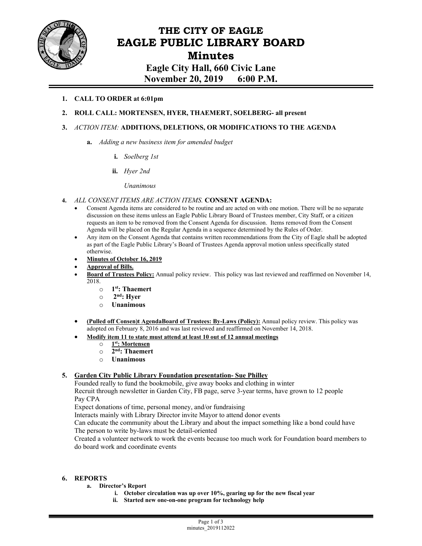

# **THE CITY OF EAGLE EAGLE PUBLIC LIBRARY BOARD Minutes Eagle City Hall, 660 Civic Lane**

**November 20, 2019 6:00 P.M.** 

# **1. CALL TO ORDER at 6:01pm**

# **2. ROLL CALL: MORTENSEN, HYER, THAEMERT, SOELBERG- all present**

### **3.** *ACTION ITEM:* **ADDITIONS, DELETIONS, OR MODIFICATIONS TO THE AGENDA**

- **a.** *Adding a new business item for amended budget*
	- **i.** *Soelberg 1st*
	- **ii.** *Hyer 2nd*

*Unanimous*

- **4.** *ALL CONSENT ITEMS ARE ACTION ITEMS.* **CONSENT AGENDA:**
	- Consent Agenda items are considered to be routine and are acted on with one motion. There will be no separate discussion on these items unless an Eagle Public Library Board of Trustees member, City Staff, or a citizen requests an item to be removed from the Consent Agenda for discussion. Items removed from the Consent Agenda will be placed on the Regular Agenda in a sequence determined by the Rules of Order.
	- Any item on the Consent Agenda that contains written recommendations from the City of Eagle shall be adopted as part of the Eagle Public Library's Board of Trustees Agenda approval motion unless specifically stated otherwise.
	- **Minutes of October 16, 2019**
	- **Approval of Bills.**
	- **Board of Trustees Policy:** Annual policy review. This policy was last reviewed and reaffirmed on November 14, 2018.
		- o **1st: Thaemert**
		- o **2nd: Hyer**
		- o **Unanimous**
	- **(Pulled off Consen)t AgendaBoard of Trustees: By-Laws (Policy):** Annual policy review. This policy was adopted on February 8, 2016 and was last reviewed and reaffirmed on November 14, 2018.
	- **Modify item 11 to state must attend at least 10 out of 12 annual meetings**
		- o **1st: Mortensen**
		- o **2nd: Thaemert**
		- o **Unanimous**

### **5. Garden City Public Library Foundation presentation- Sue Philley**

Founded really to fund the bookmobile, give away books and clothing in winter Recruit through newsletter in Garden City, FB page, serve 3-year terms, have grown to 12 people Pay CPA

Expect donations of time, personal money, and/or fundraising

Interacts mainly with Library Director invite Mayor to attend donor events

Can educate the community about the Library and about the impact something like a bond could have The person to write by-laws must be detail-oriented

Created a volunteer network to work the events because too much work for Foundation board members to do board work and coordinate events

### **6. REPORTS**

- **a. Director's Report** 
	- **i. October circulation was up over 10%, gearing up for the new fiscal year**
	- **ii. Started new one-on-one program for technology help**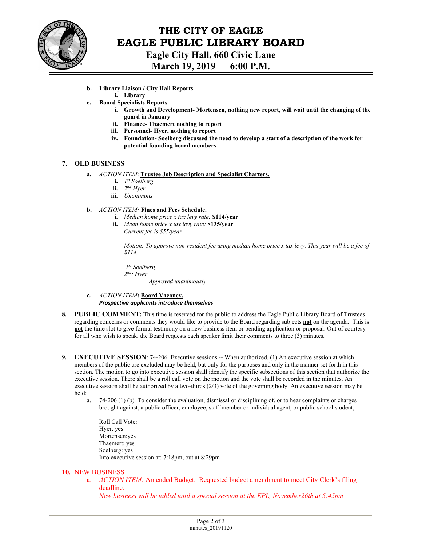

# **THE CITY OF EAGLE EAGLE PUBLIC LIBRARY BOARD Eagle City Hall, 660 Civic Lane**

**March 19, 2019 6:00 P.M.** 

- **b. Library Liaison / City Hall Reports** 
	- **i. Library**
- **c. Board Specialists Reports** 
	- **i. Growth and Development- Mortensen, nothing new report, will wait until the changing of the guard in January**
	- **ii. Finance- Thaemert nothing to report**
	- **iii. Personnel- Hyer, nothing to report**
	- **iv. Foundation- Soelberg discussed the need to develop a start of a description of the work for potential founding board members**

### **7. OLD BUSINESS**

- **a.** *ACTION ITEM*: **Trustee Job Description and Specialist Charters.** 
	- **i.** *1st Soelberg*
	- **ii.** *2nd Hyer*
	- **iii.** *Unanimous*

### **b.** *ACTION ITEM:* **Fines and Fees Schedule.**

- **i.** *Median home price x tax levy rate:* **\$114/year**
- **ii.** *Mean home price x tax levy rate:* **\$135/year**  *Current fee is \$55/year*

*Motion: To approve non-resident fee using median home price x tax levy. This year will be a fee of \$114.* 

 *1st Soelberg 2nd: Hyer Approved unanimously* 

- *c. ACTION ITEM***: Board Vacancy.** *Prospective applicants introduce themselves*
- **8. PUBLIC COMMENT:** This time is reserved for the public to address the Eagle Public Library Board of Trustees regarding concerns or comments they would like to provide to the Board regarding subjects **not** on the agenda. This is **not** the time slot to give formal testimony on a new business item or pending application or proposal. Out of courtesy for all who wish to speak, the Board requests each speaker limit their comments to three (3) minutes.
- **9. EXECUTIVE SESSION**: 74-206. Executive sessions -- When authorized. (1) An executive session at which members of the public are excluded may be held, but only for the purposes and only in the manner set forth in this section. The motion to go into executive session shall identify the specific subsections of this section that authorize the executive session. There shall be a roll call vote on the motion and the vote shall be recorded in the minutes. An executive session shall be authorized by a two-thirds (2/3) vote of the governing body. An executive session may be held:
	- a. 74-206 (1) (b) To consider the evaluation, dismissal or disciplining of, or to hear complaints or charges brought against, a public officer, employee, staff member or individual agent, or public school student;
		- Roll Call Vote: Hyer: yes Mortensen:yes Thaemert: yes Soelberg: yes Into executive session at: 7:18pm, out at 8:29pm

### **10.** NEW BUSINESS

a. *ACTION ITEM:* Amended Budget. Requested budget amendment to meet City Clerk's filing deadline.

*New business will be tabled until a special session at the EPL, November26th at 5:45pm*